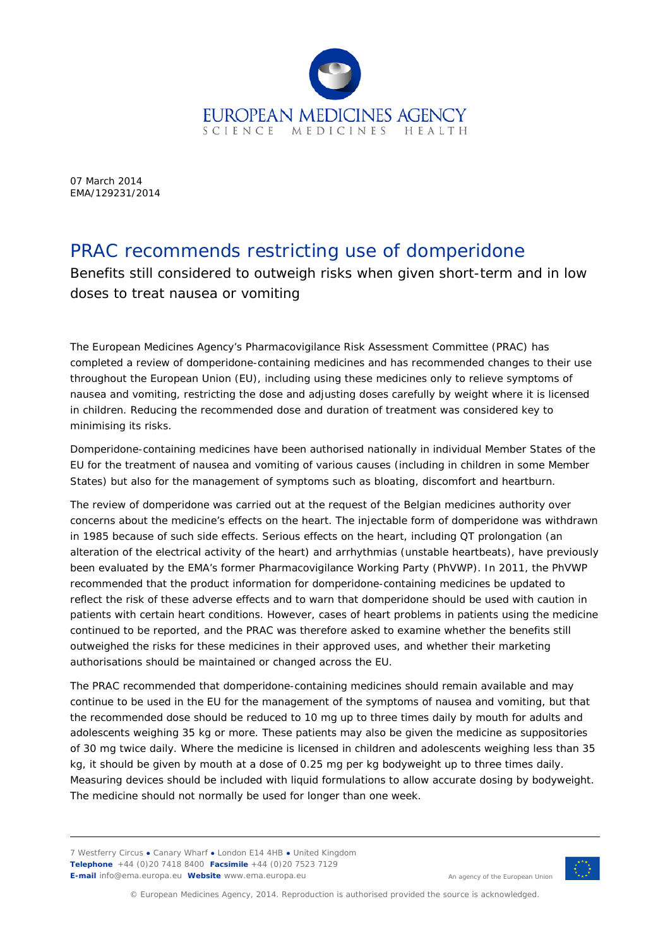

07 March 2014 EMA/129231/2014

## PRAC recommends restricting use of domperidone

Benefits still considered to outweigh risks when given short-term and in low doses to treat nausea or vomiting

The European Medicines Agency's Pharmacovigilance Risk Assessment Committee (PRAC) has completed a review of domperidone-containing medicines and has recommended changes to their use throughout the European Union (EU), including using these medicines only to relieve symptoms of nausea and vomiting, restricting the dose and adjusting doses carefully by weight where it is licensed in children. Reducing the recommended dose and duration of treatment was considered key to minimising its risks.

Domperidone-containing medicines have been authorised nationally in individual Member States of the EU for the treatment of nausea and vomiting of various causes (including in children in some Member States) but also for the management of symptoms such as bloating, discomfort and heartburn.

The review of domperidone was carried out at the request of the Belgian medicines authority over concerns about the medicine's effects on the heart. The injectable form of domperidone was withdrawn in 1985 because of such side effects. Serious effects on the heart, including QT prolongation (an alteration of the electrical activity of the heart) and arrhythmias (unstable heartbeats), have previously been evaluated by the EMA's former Pharmacovigilance Working Party (PhVWP). In 2011, the PhVWP recommended that the product information for domperidone-containing medicines be updated to reflect the risk of these adverse effects and to warn that domperidone should be used with caution in patients with certain heart conditions. However, cases of heart problems in patients using the medicine continued to be reported, and the PRAC was therefore asked to examine whether the benefits still outweighed the risks for these medicines in their approved uses, and whether their marketing authorisations should be maintained or changed across the EU.

The PRAC recommended that domperidone-containing medicines should remain available and may continue to be used in the EU for the management of the symptoms of nausea and vomiting, but that the recommended dose should be reduced to 10 mg up to three times daily by mouth for adults and adolescents weighing 35 kg or more. These patients may also be given the medicine as suppositories of 30 mg twice daily. Where the medicine is licensed in children and adolescents weighing less than 35 kg, it should be given by mouth at a dose of 0.25 mg per kg bodyweight up to three times daily. Measuring devices should be included with liquid formulations to allow accurate dosing by bodyweight. The medicine should not normally be used for longer than one week.

7 Westferry Circus **●** Canary Wharf **●** London E14 4HB **●** United Kingdom **Telephone** +44 (0)20 7418 8400 **Facsimile** +44 (0)20 7523 7129 **E-mail** info@ema.europa.eu **Website** www.ema.europa.eu



An agency of the European Union

© European Medicines Agency, 2014. Reproduction is authorised provided the source is acknowledged.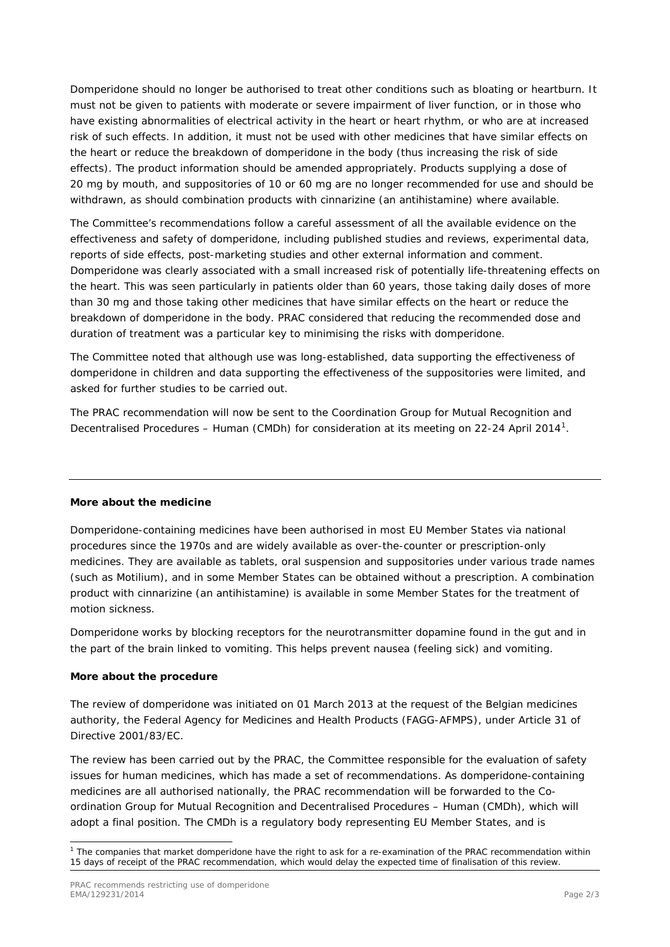Domperidone should no longer be authorised to treat other conditions such as bloating or heartburn. It must not be given to patients with moderate or severe impairment of liver function, or in those who have existing abnormalities of electrical activity in the heart or heart rhythm, or who are at increased risk of such effects. In addition, it must not be used with other medicines that have similar effects on the heart or reduce the breakdown of domperidone in the body (thus increasing the risk of side effects). The product information should be amended appropriately. Products supplying a dose of 20 mg by mouth, and suppositories of 10 or 60 mg are no longer recommended for use and should be withdrawn, as should combination products with cinnarizine (an antihistamine) where available.

The Committee's recommendations follow a careful assessment of all the available evidence on the effectiveness and safety of domperidone, including published studies and reviews, experimental data, reports of side effects, post-marketing studies and other external information and comment. Domperidone was clearly associated with a small increased risk of potentially life-threatening effects on the heart. This was seen particularly in patients older than 60 years, those taking daily doses of more than 30 mg and those taking other medicines that have similar effects on the heart or reduce the breakdown of domperidone in the body. PRAC considered that reducing the recommended dose and duration of treatment was a particular key to minimising the risks with domperidone.

The Committee noted that although use was long-established, data supporting the effectiveness of domperidone in children and data supporting the effectiveness of the suppositories were limited, and asked for further studies to be carried out.

The PRAC recommendation will now be sent to the Coordination Group for Mutual Recognition and Decentralised Procedures – Human (CMDh) for consideration at its meeting on 22-24 April 20[1](#page-1-0)4<sup>1</sup>.

## **More about the medicine**

Domperidone-containing medicines have been authorised in most EU Member States via national procedures since the 1970s and are widely available as over-the-counter or prescription-only medicines. They are available as tablets, oral suspension and suppositories under various trade names (such as Motilium), and in some Member States can be obtained without a prescription. A combination product with cinnarizine (an antihistamine) is available in some Member States for the treatment of motion sickness.

Domperidone works by blocking receptors for the neurotransmitter dopamine found in the gut and in the part of the brain linked to vomiting. This helps prevent nausea (feeling sick) and vomiting.

## **More about the procedure**

The review of domperidone was initiated on 01 March 2013 at the request of the Belgian medicines authority, the Federal Agency for Medicines and Health Products (FAGG-AFMPS), under Article 31 of Directive 2001/83/EC.

The review has been carried out by the PRAC, the Committee responsible for the evaluation of safety issues for human medicines, which has made a set of recommendations. As domperidone-containing medicines are all authorised nationally, the PRAC recommendation will be forwarded to the Coordination Group for Mutual Recognition and Decentralised Procedures – Human (CMDh), which will adopt a final position. The CMDh is a regulatory body representing EU Member States, and is

<span id="page-1-0"></span> <sup>1</sup> The companies that market domperidone have the right to ask for a re-examination of the PRAC recommendation within 15 days of receipt of the PRAC recommendation, which would delay the expected time of finalisation of this review.